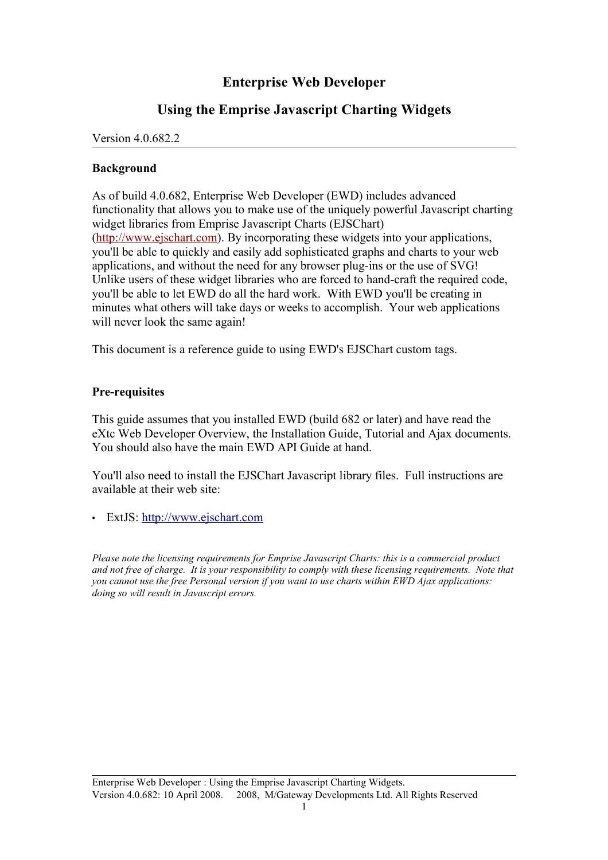# **Enterprise Web Developer**

# **Using the Emprise Javascript Charting Widgets**

Version 4.0.682.2

#### **Background**

As of build 4.0.682, Enterprise Web Developer (EWD) includes advanced functionality that allows you to make use of the uniquely powerful Javascript charting widget libraries from Emprise Javascript Charts (EJSChart) (http://www.ejschart.com). By incorporating these widgets into your applications, you'll be able to quickly and easily add sophisticated graphs and charts to your web applications, and without the need for any browser plug-ins or the use of SVG! Unlike users of these widget libraries who are forced to hand-craft the required code, you'll be able to let EWD do all the hard work. With EWD you'll be creating in minutes what others will take days or weeks to accomplish. Your web applications will never look the same again!

This document is a reference guide to using EWD's EJSChart custom tags.

#### **Pre-requisites**

This guide assumes that you installed EWD (build 682 or later) and have read the eXtc Web Developer Overview, the Installation Guide, Tutorial and Ajax documents. You should also have the main EWD API Guide at hand.

You'll also need to install the EJSChart Javascript library files. Full instructions are available at their web site:

• ExtJS: http://www.ejschart.com

*Please note the licensing requirements for Emprise Javascript Charts: this is a commercial product and not free of charge. It is your responsibility to comply with these licensing requirements. Note that you cannot use the free Personal version if you want to use charts within EWD Ajax applications: doing so will result in Javascript errors.*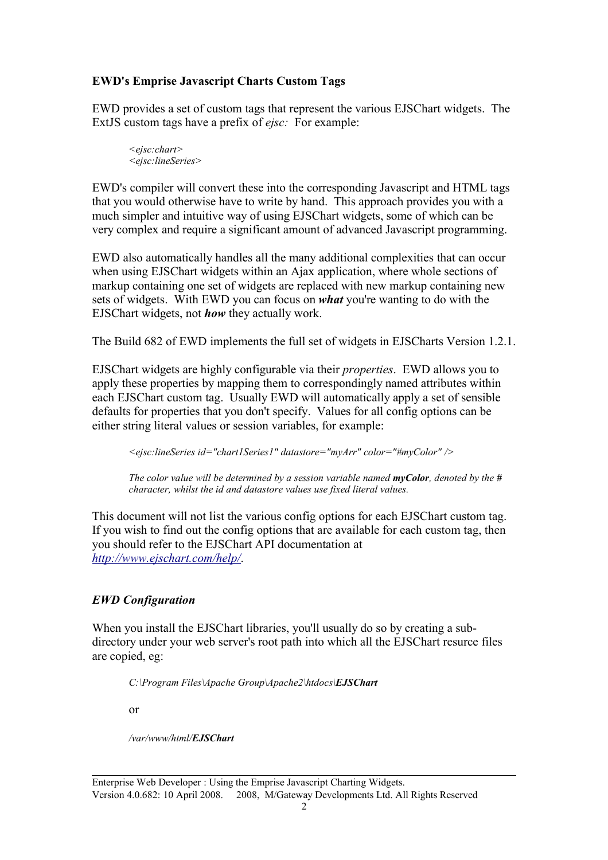### **EWD's Emprise Javascript Charts Custom Tags**

EWD provides a set of custom tags that represent the various EJSChart widgets. The ExtJS custom tags have a prefix of *ejsc:* For example:

*<ejsc:chart> <ejsc:lineSeries>*

EWD's compiler will convert these into the corresponding Javascript and HTML tags that you would otherwise have to write by hand. This approach provides you with a much simpler and intuitive way of using EJSChart widgets, some of which can be very complex and require a significant amount of advanced Javascript programming.

EWD also automatically handles all the many additional complexities that can occur when using EJSChart widgets within an Ajax application, where whole sections of markup containing one set of widgets are replaced with new markup containing new sets of widgets. With EWD you can focus on *what* you're wanting to do with the EJSChart widgets, not *how* they actually work.

The Build 682 of EWD implements the full set of widgets in EJSCharts Version 1.2.1.

EJSChart widgets are highly configurable via their *properties*. EWD allows you to apply these properties by mapping them to correspondingly named attributes within each EJSChart custom tag. Usually EWD will automatically apply a set of sensible defaults for properties that you don't specify. Values for all config options can be either string literal values or session variables, for example:

*<ejsc:lineSeries id="chart1Series1" datastore="myArr" color="#myColor" />*

*The color value will be determined by a session variable named myColor, denoted by the # character, whilst the id and datastore values use fixed literal values.*

This document will not list the various config options for each EJSChart custom tag. If you wish to find out the config options that are available for each custom tag, then you should refer to the EJSChart API documentation at *http://www.ejschart.com/help/*.

### *EWD Configuration*

When you install the EJSChart libraries, you'll usually do so by creating a subdirectory under your web server's root path into which all the EJSChart resurce files are copied, eg:

*C:\Program Files\Apache Group\Apache2\htdocs\EJSChart*

or

*/var/www/html/EJSChart*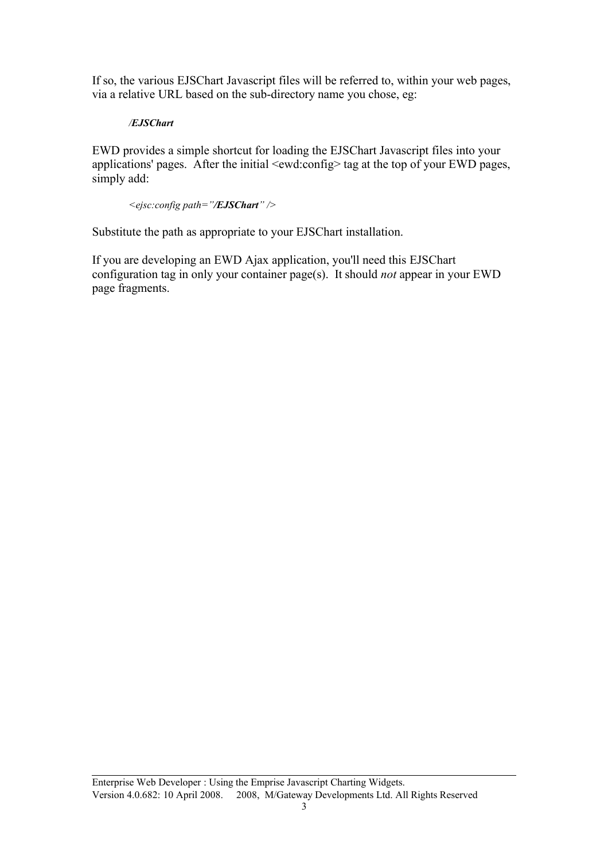If so, the various EJSChart Javascript files will be referred to, within your web pages, via a relative URL based on the sub-directory name you chose, eg:

#### */EJSChart*

EWD provides a simple shortcut for loading the EJSChart Javascript files into your applications' pages. After the initial <ewd:config> tag at the top of your EWD pages, simply add:

*<ejsc:config path="/EJSChart" />*

Substitute the path as appropriate to your EJSChart installation.

If you are developing an EWD Ajax application, you'll need this EJSChart configuration tag in only your container page(s). It should *not* appear in your EWD page fragments.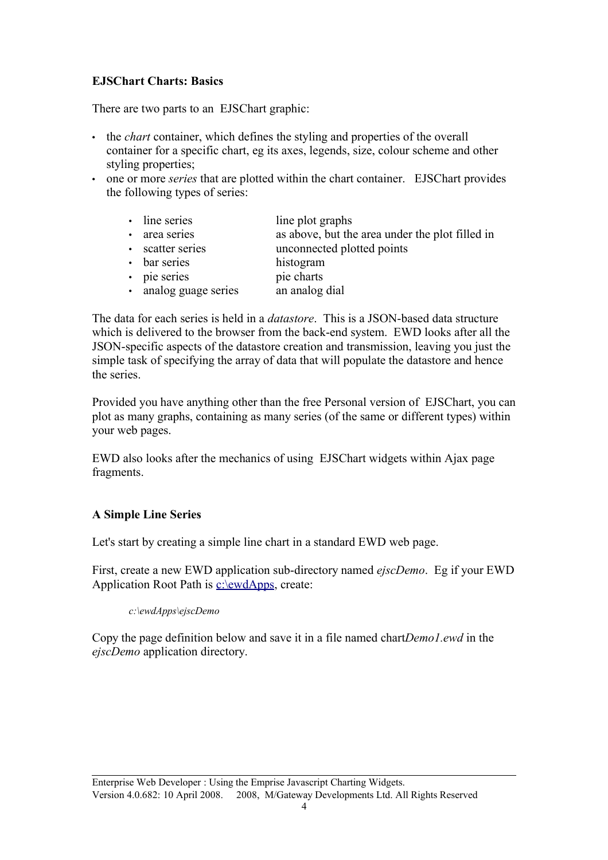## **EJSChart Charts: Basics**

There are two parts to an EJSChart graphic:

- the *chart* container, which defines the styling and properties of the overall container for a specific chart, eg its axes, legends, size, colour scheme and other styling properties;
- one or more *series* that are plotted within the chart container. EJSChart provides the following types of series:
	- line series line plot graphs
	- area series as above, but the area under the plot filled in
	- scatter series unconnected plotted points
	- bar series histogram
	- pie series pie charts
	- analog guage series an analog dial

The data for each series is held in a *datastore*. This is a JSON-based data structure which is delivered to the browser from the back-end system. EWD looks after all the JSON-specific aspects of the datastore creation and transmission, leaving you just the simple task of specifying the array of data that will populate the datastore and hence the series.

Provided you have anything other than the free Personal version of EJSChart, you can plot as many graphs, containing as many series (of the same or different types) within your web pages.

EWD also looks after the mechanics of using EJSChart widgets within Ajax page fragments.

## **A Simple Line Series**

Let's start by creating a simple line chart in a standard EWD web page.

First, create a new EWD application sub-directory named *ejscDemo*. Eg if your EWD Application Root Path is c:\ewdApps, create:

#### *c:\ewdApps\ejscDemo*

Copy the page definition below and save it in a file named chart*Demo1.ewd* in the *ejscDemo* application directory.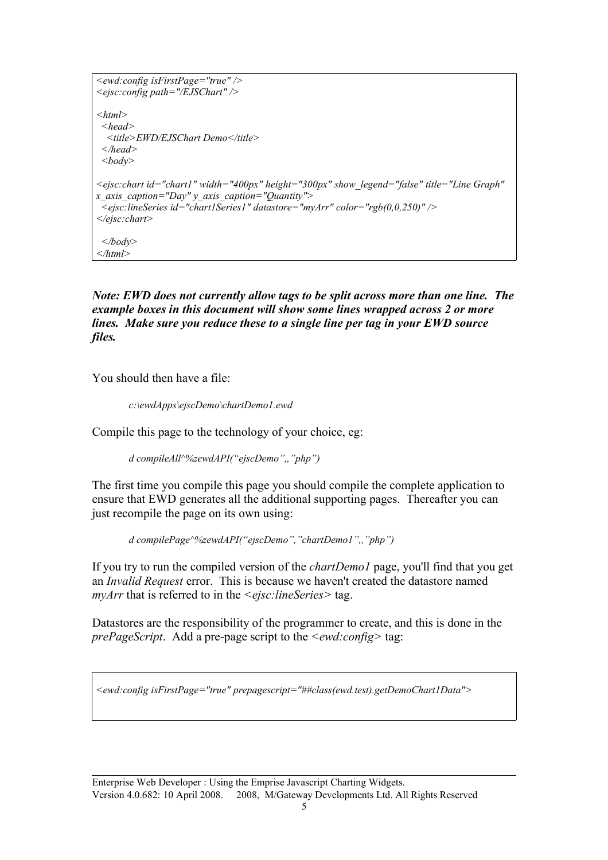```
<ewd:config isFirstPage="true" />
<ejsc:config path="/EJSChart" />
<html>
 <head>
   <title>EWD/EJSChart Demo</title>
 </head>
 <body>
<ejsc:chart id="chart1" width="400px" height="300px" show_legend="false" title="Line Graph"
x_axis_caption="Day" y_axis_caption="Quantity">
<ejsc:lineSeries id="chart1Series1" datastore="myArr" color="rgb(0,0,250)" />
</ejsc:chart>
 </body>
</html>
```
#### *Note: EWD does not currently allow tags to be split across more than one line. The example boxes in this document will show some lines wrapped across 2 or more lines. Make sure you reduce these to a single line per tag in your EWD source files.*

You should then have a file:

*c:\ewdApps\ejscDemo\chartDemo1.ewd*

Compile this page to the technology of your choice, eg:

*d compileAll^%zewdAPI("ejscDemo",,"php")*

The first time you compile this page you should compile the complete application to ensure that EWD generates all the additional supporting pages. Thereafter you can just recompile the page on its own using:

*d compilePage^%zewdAPI("ejscDemo","chartDemo1",,"php")*

If you try to run the compiled version of the *chartDemo1* page, you'll find that you get an *Invalid Request* error. This is because we haven't created the datastore named *myArr* that is referred to in the *<ejsc:lineSeries>* tag.

Datastores are the responsibility of the programmer to create, and this is done in the *prePageScript*. Add a pre-page script to the *<ewd:config>* tag:

*<ewd:config isFirstPage="true" prepagescript="##class(ewd.test).getDemoChart1Data">*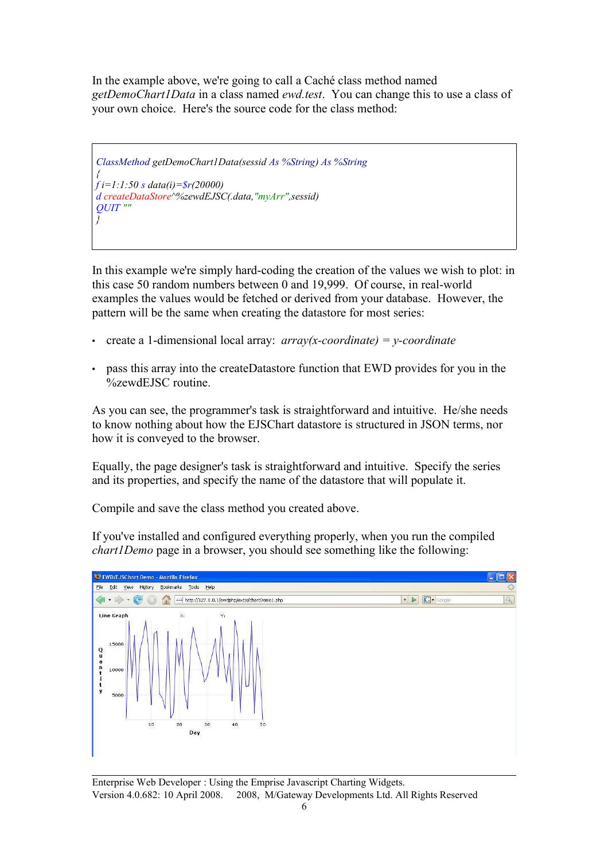In the example above, we're going to call a Caché class method named *getDemoChart1Data* in a class named *ewd.test*. You can change this to use a class of your own choice. Here's the source code for the class method:

*ClassMethod getDemoChart1Data(sessid As %String) As %String { f i=1:1:50 s data(i)=\$r(20000) d createDataStore^%zewdEJSC(.data,"myArr",sessid) QUIT "" }*

In this example we're simply hard-coding the creation of the values we wish to plot: in this case 50 random numbers between 0 and 19,999. Of course, in real-world examples the values would be fetched or derived from your database. However, the pattern will be the same when creating the datastore for most series:

- create a 1-dimensional local array: *array(x-coordinate) = y-coordinate*
- pass this array into the createDatastore function that EWD provides for you in the %zewdEJSC routine.

As you can see, the programmer's task is straightforward and intuitive. He/she needs to know nothing about how the EJSChart datastore is structured in JSON terms, nor how it is conveyed to the browser.

Equally, the page designer's task is straightforward and intuitive. Specify the series and its properties, and specify the name of the datastore that will populate it.

Compile and save the class method you created above.

If you've installed and configured everything properly, when you run the compiled *chart1Demo* page in a browser, you should see something like the following:



Enterprise Web Developer : Using the Emprise Javascript Charting Widgets. Version 4.0.682: 10 April 2008. © 2008, M/Gateway Developments Ltd. All Rights Reserved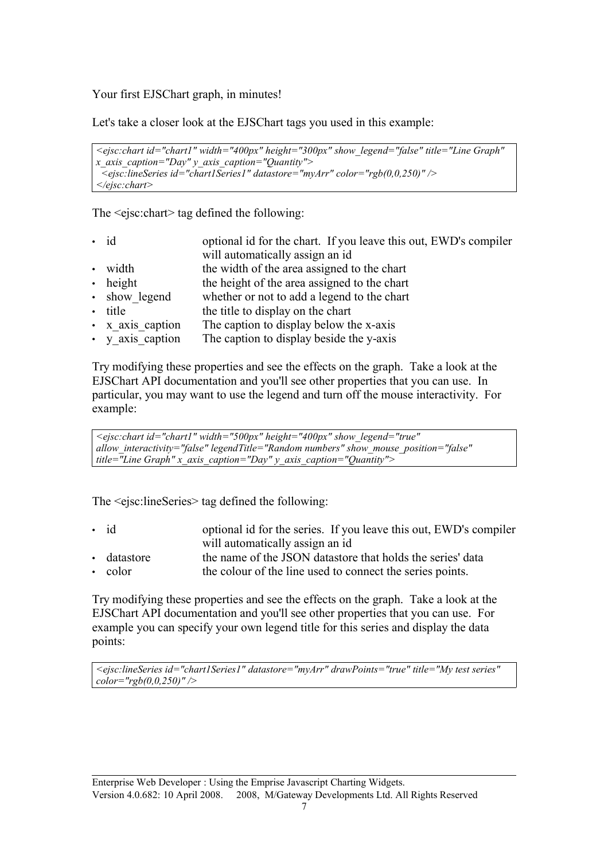Your first EJSChart graph, in minutes!

Let's take a closer look at the EJSChart tags you used in this example:

```
<ejsc:chart id="chart1" width="400px" height="300px" show_legend="false" title="Line Graph"
x_axis_caption="Day" y_axis_caption="Quantity">
 <ejsc:lineSeries id="chart1Series1" datastore="myArr" color="rgb(0,0,250)" />
</ejsc:chart>
```
The <ejsc:chart> tag defined the following:

| $\cdot$ id       | optional id for the chart. If you leave this out, EWD's compiler |
|------------------|------------------------------------------------------------------|
|                  | will automatically assign an id                                  |
| • width          | the width of the area assigned to the chart                      |
| $\cdot$ height   | the height of the area assigned to the chart                     |
| • show legend    | whether or not to add a legend to the chart                      |
| • title          | the title to display on the chart                                |
| • x axis caption | The caption to display below the x-axis                          |
| • y axis caption | The caption to display beside the y-axis                         |
|                  |                                                                  |

Try modifying these properties and see the effects on the graph. Take a look at the EJSChart API documentation and you'll see other properties that you can use. In particular, you may want to use the legend and turn off the mouse interactivity. For example:

*<ejsc:chart id="chart1" width="500px" height="400px" show\_legend="true" allow\_interactivity="false" legendTitle="Random numbers" show\_mouse\_position="false" title="Line Graph" x\_axis\_caption="Day" y\_axis\_caption="Quantity">*

The <ejsc:lineSeries> tag defined the following:

- id optional id for the series. If you leave this out, EWD's compiler will automatically assign an id • datastore the name of the JSON datastore that holds the series' data
- color the colour of the line used to connect the series points.

Try modifying these properties and see the effects on the graph. Take a look at the EJSChart API documentation and you'll see other properties that you can use. For example you can specify your own legend title for this series and display the data points:

*<ejsc:lineSeries id="chart1Series1" datastore="myArr" drawPoints="true" title="My test series" color="rgb(0,0,250)" />*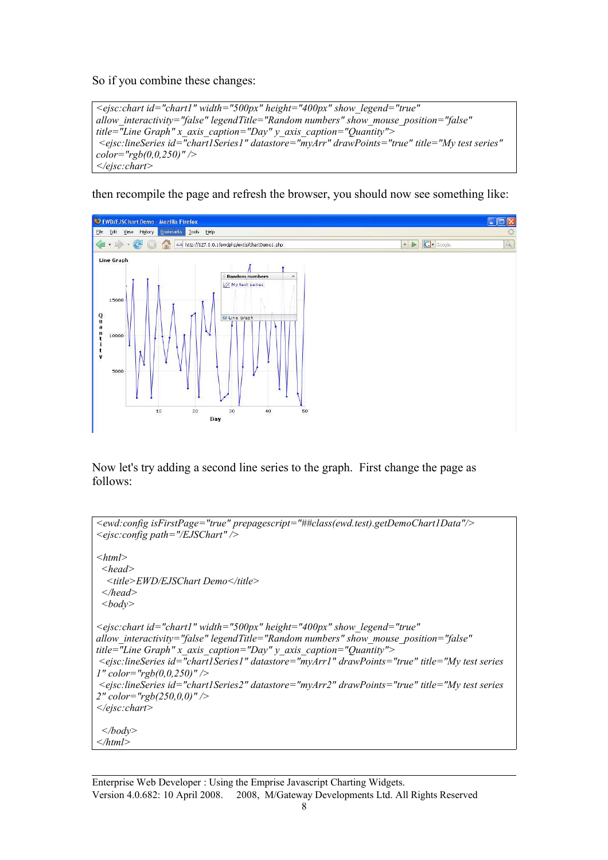So if you combine these changes:

```
<ejsc:chart id="chart1" width="500px" height="400px" show_legend="true"
allow_interactivity="false" legendTitle="Random numbers" show_mouse_position="false"
title="Line Graph" x_axis_caption="Day" y_axis_caption="Quantity">
<ejsc:lineSeries id="chart1Series1" datastore="myArr" drawPoints="true" title="My test series"
color="rgb(0,0,250)" />
</ejsc:chart>
```
then recompile the page and refresh the browser, you should now see something like:



Now let's try adding a second line series to the graph. First change the page as follows:

```
<ewd:config isFirstPage="true" prepagescript="##class(ewd.test).getDemoChart1Data"/>
<ejsc:config path="/EJSChart" />
<html>
 <head>
   <title>EWD/EJSChart Demo</title>
 </head>
 <body>
<ejsc:chart id="chart1" width="500px" height="400px" show_legend="true"
allow_interactivity="false" legendTitle="Random numbers" show_mouse_position="false"
title="Line Graph" x_axis_caption="Day" y_axis_caption="Quantity">
<ejsc:lineSeries id="chart1Series1" datastore="myArr1" drawPoints="true" title="My test series
1" color="rgb(0,0,250)" />
<ejsc:lineSeries id="chart1Series2" datastore="myArr2" drawPoints="true" title="My test series
2" color="rgb(250,0,0)" />
</ejsc:chart>
 </body>
</html>
```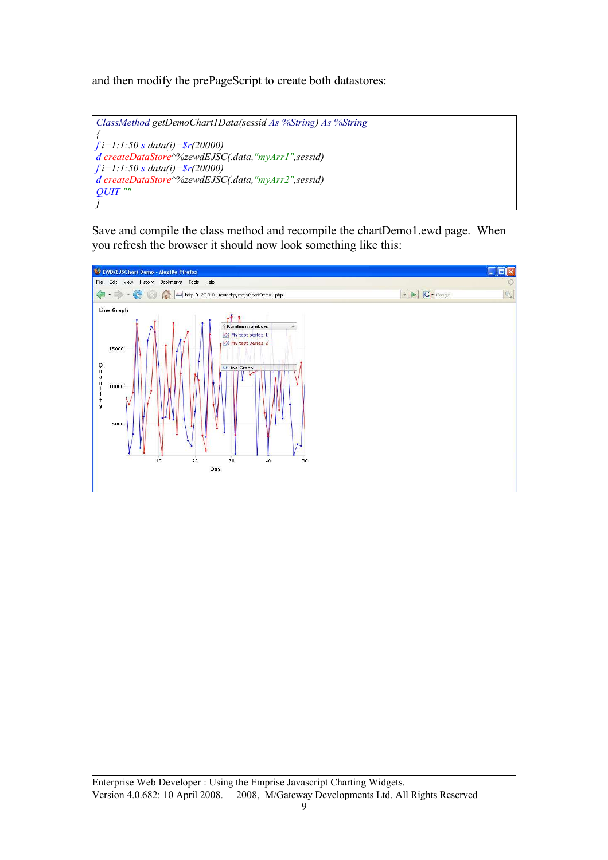and then modify the prePageScript to create both datastores:

```
ClassMethod getDemoChart1Data(sessid As %String) As %String
{
f i=1:1:50 s data(i)=$r(20000)
d createDataStore^%zewdEJSC(.data,"myArr1",sessid)
f i=1:1:50 s data(i)=$r(20000)
d createDataStore^%zewdEJSC(.data,"myArr2",sessid)
QUIT ""
}
```
Save and compile the class method and recompile the chartDemo1.ewd page. When you refresh the browser it should now look something like this:

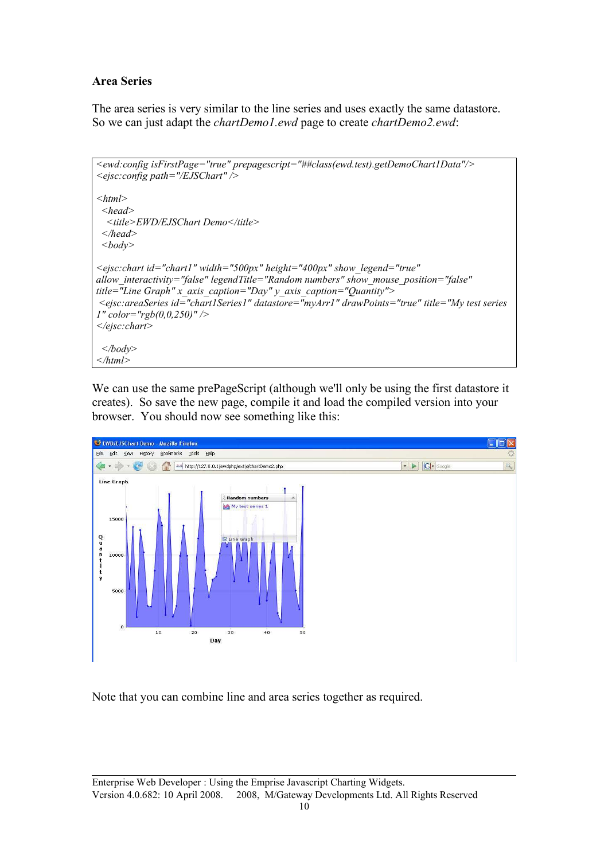### **Area Series**

The area series is very similar to the line series and uses exactly the same datastore. So we can just adapt the *chartDemo1.ewd* page to create *chartDemo2.ewd*:



We can use the same prePageScript (although we'll only be using the first datastore it creates). So save the new page, compile it and load the compiled version into your browser. You should now see something like this:



Note that you can combine line and area series together as required.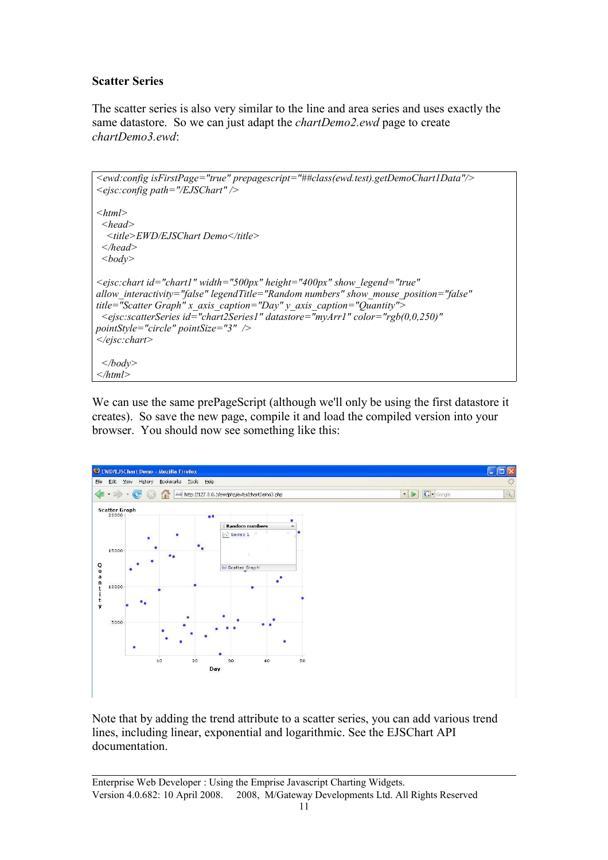#### **Scatter Series**

The scatter series is also very similar to the line and area series and uses exactly the same datastore. So we can just adapt the *chartDemo2.ewd* page to create *chartDemo3.ewd*:

| <ewd:config isfirstpage="true" prepagescript="##class(ewd.test).getDemoChart1Data"></ewd:config><br>$\leq$ ejsc:config path="/EJSChart" />                                                                                                                                                                                                                                                                      |
|-----------------------------------------------------------------------------------------------------------------------------------------------------------------------------------------------------------------------------------------------------------------------------------------------------------------------------------------------------------------------------------------------------------------|
| $<$ html $>$<br>$\langle head \rangle$<br>$\langle$ title>EWD/EJSChart Demo $\langle$ title><br>$\langle$ head $\rangle$<br>$<$ body>                                                                                                                                                                                                                                                                           |
| $\leq$ ejsc:chart id="chart1" width="500px" height="400px" show legend="true"<br>allow interactivity="false" legendTitle="Random numbers" show mouse position="false"<br>title="Scatter Graph" x axis caption="Day" y axis caption="Quantity"><br>$\leq$ ejsc:scatterSeries id="chart2Series1" datastore="myArr1" color="rgb(0,0,250)"<br>pointStyle="circle" pointSize="3" $\rightarrow$<br>$\le$ /eisc:chart> |
| $\langle \text{body} \rangle$<br>$\langle \hat{h}$ tml $\rangle$                                                                                                                                                                                                                                                                                                                                                |

We can use the same prePageScript (although we'll only be using the first datastore it creates). So save the new page, compile it and load the compiled version into your browser. You should now see something like this:



Note that by adding the trend attribute to a scatter series, you can add various trend lines, including linear, exponential and logarithmic. See the EJSChart API documentation.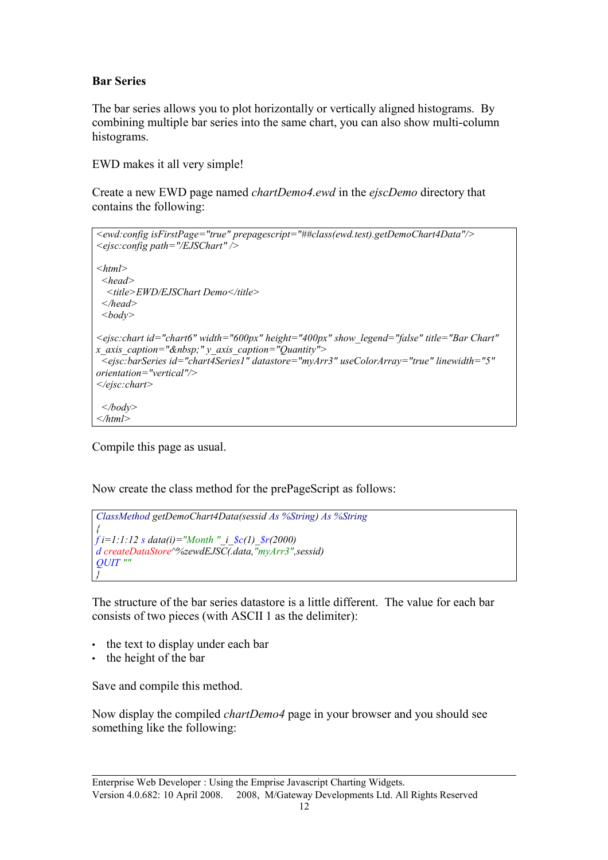## **Bar Series**

The bar series allows you to plot horizontally or vertically aligned histograms. By combining multiple bar series into the same chart, you can also show multi-column histograms.

EWD makes it all very simple!

Create a new EWD page named *chartDemo4.ewd* in the *ejscDemo* directory that contains the following:

```
<ewd:config isFirstPage="true" prepagescript="##class(ewd.test).getDemoChart4Data"/>
<ejsc:config path="/EJSChart" />
<html>
 <head>
   <title>EWD/EJSChart Demo</title>
 </head>
 <body>
<ejsc:chart id="chart6" width="600px" height="400px" show_legend="false" title="Bar Chart"
x_axis_caption=" " y_axis_caption="Quantity">
 <ejsc:barSeries id="chart4Series1" datastore="myArr3" useColorArray="true" linewidth="5"
orientation="vertical"/>
</ejsc:chart>
 </body>
</html>
```
Compile this page as usual.

Now create the class method for the prePageScript as follows:

```
ClassMethod getDemoChart4Data(sessid As %String) As %String
{
f = 1:1:12 \text{ s} \text{ data}(i) = "Month " i \text{ } \text{\$c}(1) \text{ } \text{\$r}(2000)d createDataStore^%zewdEJSC(.data,"myArr3",sessid)
QUIT ""
}
```
The structure of the bar series datastore is a little different. The value for each bar consists of two pieces (with ASCII 1 as the delimiter):

- the text to display under each bar
- the height of the bar

Save and compile this method.

Now display the compiled *chartDemo4* page in your browser and you should see something like the following: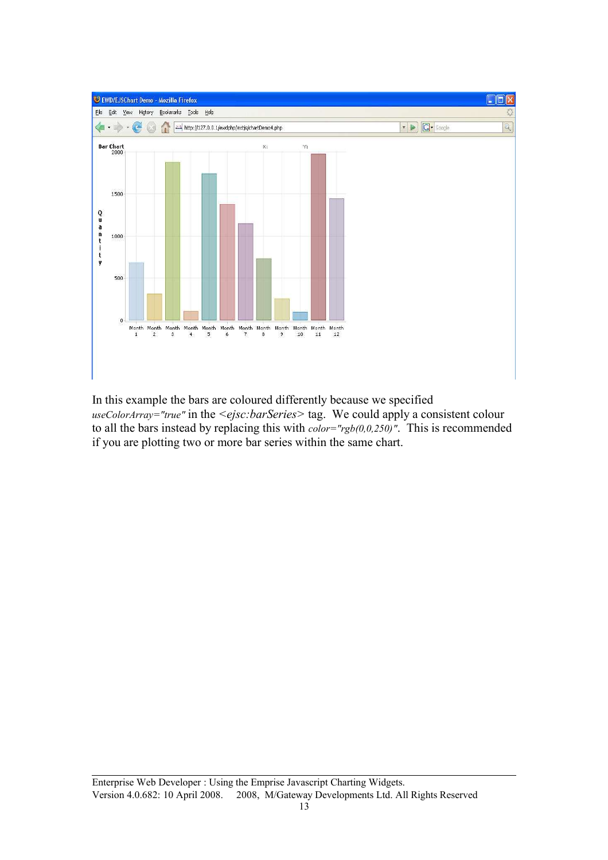

In this example the bars are coloured differently because we specified *useColorArray="true"* in the *<ejsc:barSeries>* tag. We could apply a consistent colour to all the bars instead by replacing this with *color="rgb(0,0,250)"*. This is recommended if you are plotting two or more bar series within the same chart.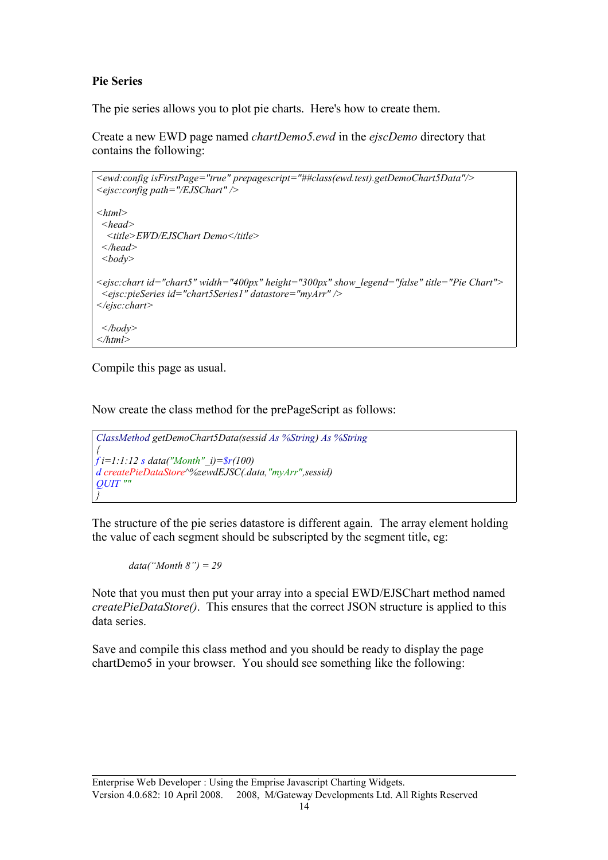### **Pie Series**

The pie series allows you to plot pie charts. Here's how to create them.

Create a new EWD page named *chartDemo5.ewd* in the *ejscDemo* directory that contains the following:

```
<ewd:config isFirstPage="true" prepagescript="##class(ewd.test).getDemoChart5Data"/>
<ejsc:config path="/EJSChart" />
<html>
<head>
   <title>EWD/EJSChart Demo</title>
</head>
<body>
<ejsc:chart id="chart5" width="400px" height="300px" show_legend="false" title="Pie Chart">
<ejsc:pieSeries id="chart5Series1" datastore="myArr" />
</ejsc:chart>
</body>
</html>
```
Compile this page as usual.

Now create the class method for the prePageScript as follows:

*ClassMethod getDemoChart5Data(sessid As %String) As %String { f i=1:1:12 s data("Month"\_i)=\$r(100) d createPieDataStore^%zewdEJSC(.data,"myArr",sessid) QUIT "" }*

The structure of the pie series datastore is different again. The array element holding the value of each segment should be subscripted by the segment title, eg:

*data("Month 8") = 29*

Note that you must then put your array into a special EWD/EJSChart method named *createPieDataStore()*. This ensures that the correct JSON structure is applied to this data series.

Save and compile this class method and you should be ready to display the page chartDemo5 in your browser. You should see something like the following: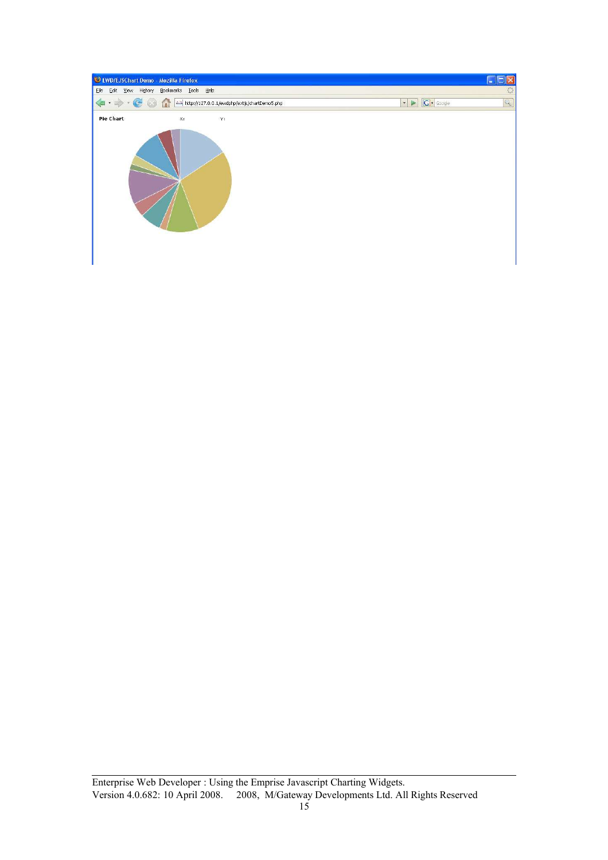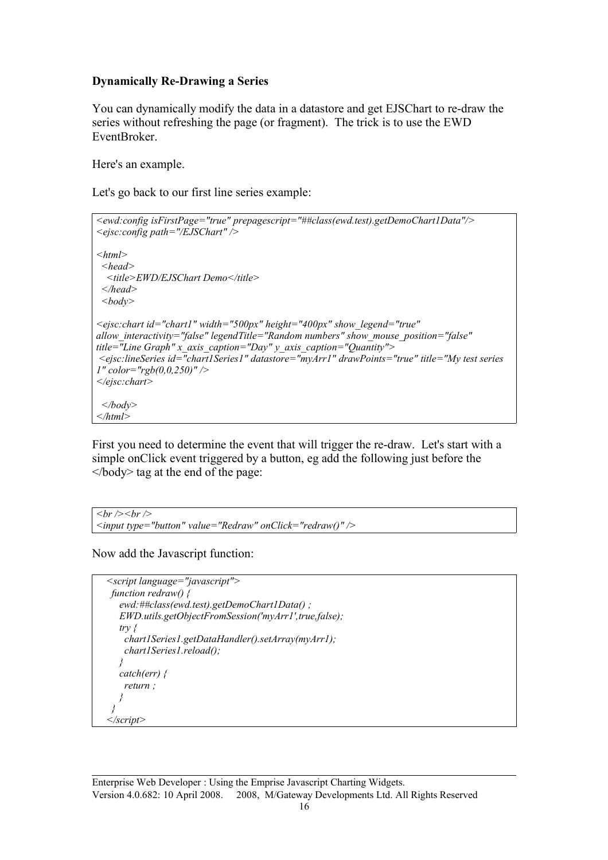### **Dynamically Re-Drawing a Series**

You can dynamically modify the data in a datastore and get EJSChart to re-draw the series without refreshing the page (or fragment). The trick is to use the EWD EventBroker.

Here's an example.

Let's go back to our first line series example:

```
<ewd:config isFirstPage="true" prepagescript="##class(ewd.test).getDemoChart1Data"/>
<ejsc:config path="/EJSChart" />
<html>
 <head>
   <title>EWD/EJSChart Demo</title>
 </head>
 <body>
<ejsc:chart id="chart1" width="500px" height="400px" show_legend="true"
allow_interactivity="false" legendTitle="Random numbers" show_mouse_position="false"
title="Line Graph" x_axis_caption="Day" y_axis_caption="Quantity">
<ejsc:lineSeries id="chart1Series1" datastore="myArr1" drawPoints="true" title="My test series
1" color="rgb(0,0,250)" />
</ejsc:chart>
 </body>
</html>
```
First you need to determine the event that will trigger the re-draw. Let's start with a simple onClick event triggered by a button, eg add the following just before the  $\langle \text{body} \rangle$  tag at the end of the page:

```
\langlebr />\langlebr />
<input type="button" value="Redraw" onClick="redraw()" />
```
Now add the Javascript function:

```
 <script language="javascript">
  function redraw() {
     ewd:##class(ewd.test).getDemoChart1Data() ;
     EWD.utils.getObjectFromSession('myArr1',true,false);
     try {
      chart1Series1.getDataHandler().setArray(myArr1);
      chart1Series1.reload();
     }
     catch(err) {
      return ;
 }
 }
  </script>
```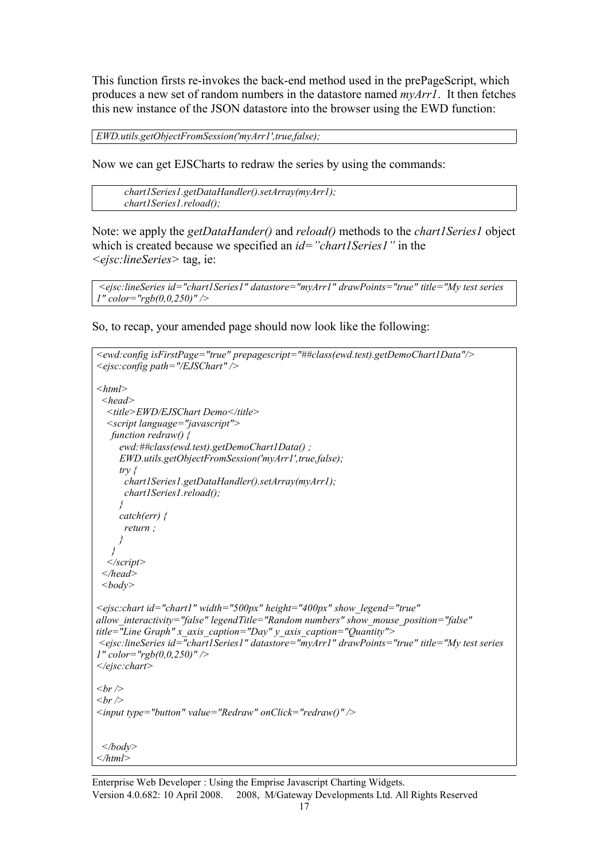This function firsts re-invokes the back-end method used in the prePageScript, which produces a new set of random numbers in the datastore named *myArr1*. It then fetches this new instance of the JSON datastore into the browser using the EWD function:

*EWD.utils.getObjectFromSession('myArr1',true,false);*

Now we can get EJSCharts to redraw the series by using the commands:

 *chart1Series1.getDataHandler().setArray(myArr1); chart1Series1.reload();*

Note: we apply the *getDataHander()* and *reload()* methods to the *chart1Series1* object which is created because we specified an *id="chart1Series1"* in the *<ejsc:lineSeries>* tag, ie:

```
<ejsc:lineSeries id="chart1Series1" datastore="myArr1" drawPoints="true" title="My test series
1" color="rgb(0,0,250)" />
```
So, to recap, your amended page should now look like the following:

```
<ewd:config isFirstPage="true" prepagescript="##class(ewd.test).getDemoChart1Data"/>
<ejsc:config path="/EJSChart" />
<html>
 <head>
   <title>EWD/EJSChart Demo</title>
   <script language="javascript">
    function redraw() {
      ewd:##class(ewd.test).getDemoChart1Data() ;
      EWD.utils.getObjectFromSession('myArr1',true,false);
      try {
       chart1Series1.getDataHandler().setArray(myArr1);
       chart1Series1.reload();
  }
      catch(err) {
       return ;
  }
  }
   </script>
 </head>
 <body>
<ejsc:chart id="chart1" width="500px" height="400px" show_legend="true"
allow_interactivity="false" legendTitle="Random numbers" show_mouse_position="false"
title="Line Graph" x_axis_caption="Day" y_axis_caption="Quantity">
<ejsc:lineSeries id="chart1Series1" datastore="myArr1" drawPoints="true" title="My test series
1" color="rgb(0,0,250)" />
</ejsc:chart>
<br />
\langlebr \rangle<input type="button" value="Redraw" onClick="redraw()" />
 </body>
</html>
```
Enterprise Web Developer : Using the Emprise Javascript Charting Widgets. Version 4.0.682: 10 April 2008. © 2008, M/Gateway Developments Ltd. All Rights Reserved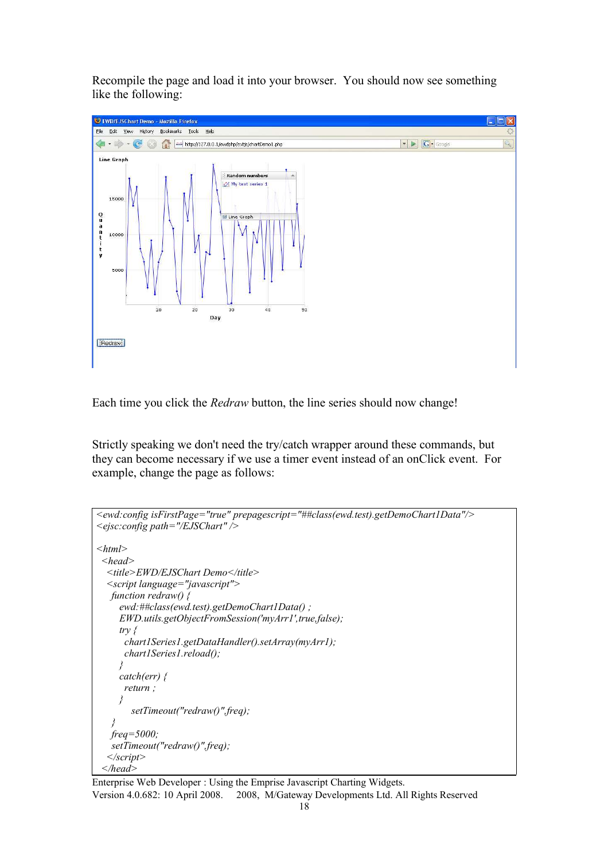Recompile the page and load it into your browser. You should now see something like the following:



Each time you click the *Redraw* button, the line series should now change!

Strictly speaking we don't need the try/catch wrapper around these commands, but they can become necessary if we use a timer event instead of an onClick event. For example, change the page as follows:

```
<ewd:config isFirstPage="true" prepagescript="##class(ewd.test).getDemoChart1Data"/>
<ejsc:config path="/EJSChart" />
<html>
<head>
   <title>EWD/EJSChart Demo</title>
   <script language="javascript">
    function redraw() {
      ewd:##class(ewd.test).getDemoChart1Data() ;
      EWD.utils.getObjectFromSession('myArr1',true,false);
      try {
       chart1Series1.getDataHandler().setArray(myArr1);
       chart1Series1.reload();
  }
      catch(err) {
       return ;
      }
        setTimeout("redraw()",freq);
  }
    freq=5000;
    setTimeout("redraw()",freq);
   </script>
 </head>
```
Enterprise Web Developer : Using the Emprise Javascript Charting Widgets. Version 4.0.682: 10 April 2008. © 2008, M/Gateway Developments Ltd. All Rights Reserved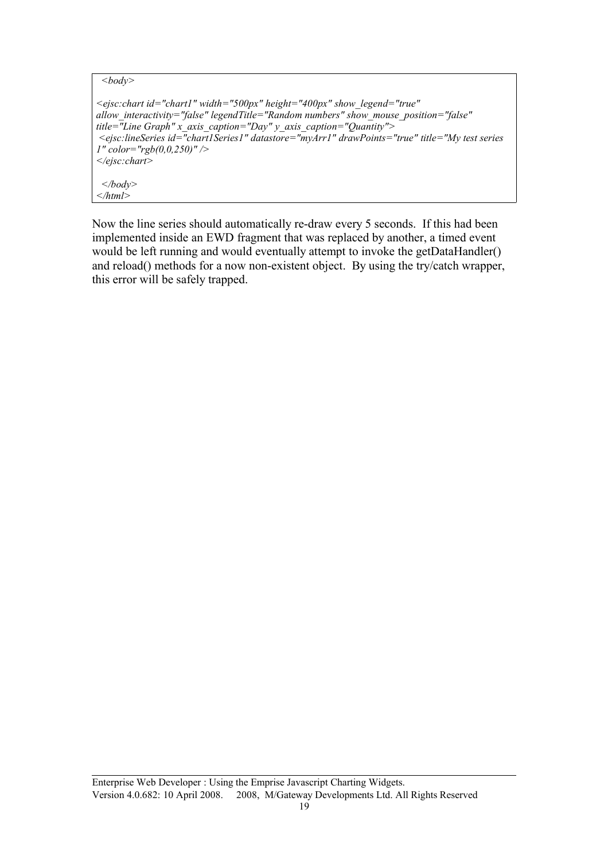```
<body>
<ejsc:chart id="chart1" width="500px" height="400px" show_legend="true"
allow_interactivity="false" legendTitle="Random numbers" show_mouse_position="false"
title="Line Graph" x_axis_caption="Day" y_axis_caption="Quantity">
<ejsc:lineSeries id="chart1Series1" datastore="myArr1" drawPoints="true" title="My test series
1" color="rgb(0,0,250)" />
</ejsc:chart>
 </body>
</html>
```
Now the line series should automatically re-draw every 5 seconds. If this had been implemented inside an EWD fragment that was replaced by another, a timed event would be left running and would eventually attempt to invoke the getDataHandler() and reload() methods for a now non-existent object. By using the try/catch wrapper, this error will be safely trapped.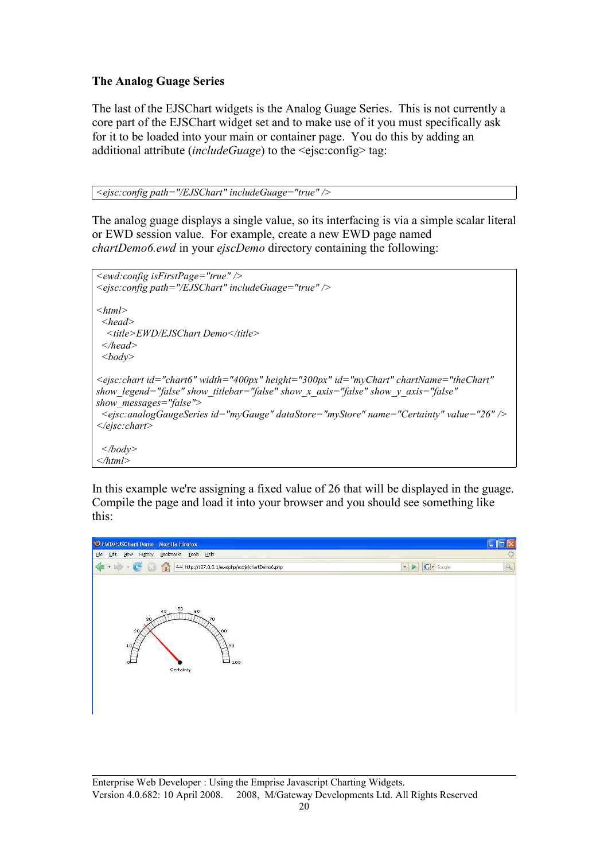## **The Analog Guage Series**

The last of the EJSChart widgets is the Analog Guage Series. This is not currently a core part of the EJSChart widget set and to make use of it you must specifically ask for it to be loaded into your main or container page. You do this by adding an additional attribute *(includeGuage)* to the <ejsc:config> tag:

*<ejsc:config path="/EJSChart" includeGuage="true" />*

The analog guage displays a single value, so its interfacing is via a simple scalar literal or EWD session value. For example, create a new EWD page named *chartDemo6.ewd* in your *ejscDemo* directory containing the following:



In this example we're assigning a fixed value of 26 that will be displayed in the guage. Compile the page and load it into your browser and you should see something like this:

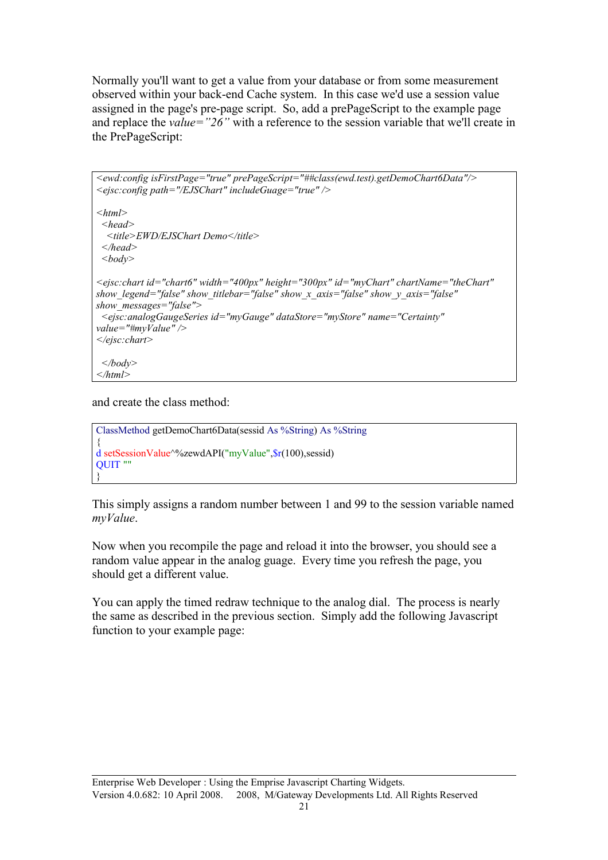Normally you'll want to get a value from your database or from some measurement observed within your back-end Cache system. In this case we'd use a session value assigned in the page's pre-page script. So, add a prePageScript to the example page and replace the *value="26"* with a reference to the session variable that we'll create in the PrePageScript:

```
<ewd:config isFirstPage="true" prePageScript="##class(ewd.test).getDemoChart6Data"/>
<ejsc:config path="/EJSChart" includeGuage="true" />
<html>
 <head>
   <title>EWD/EJSChart Demo</title>
 </head>
 <body>
<ejsc:chart id="chart6" width="400px" height="300px" id="myChart" chartName="theChart"
show_legend="false" show_titlebar="false" show_x_axis="false" show_y_axis="false"
show_messages="false">
 <ejsc:analogGaugeSeries id="myGauge" dataStore="myStore" name="Certainty"
value="#myValue" />
</ejsc:chart>
 </body>
</html>
```
and create the class method:

```
ClassMethod getDemoChart6Data(sessid As %String) As %String
{
d setSessionValue^%zewdAPI("myValue",$r(100),sessid)
QUIT ""
}
```
This simply assigns a random number between 1 and 99 to the session variable named *myValue*.

Now when you recompile the page and reload it into the browser, you should see a random value appear in the analog guage. Every time you refresh the page, you should get a different value.

You can apply the timed redraw technique to the analog dial. The process is nearly the same as described in the previous section. Simply add the following Javascript function to your example page: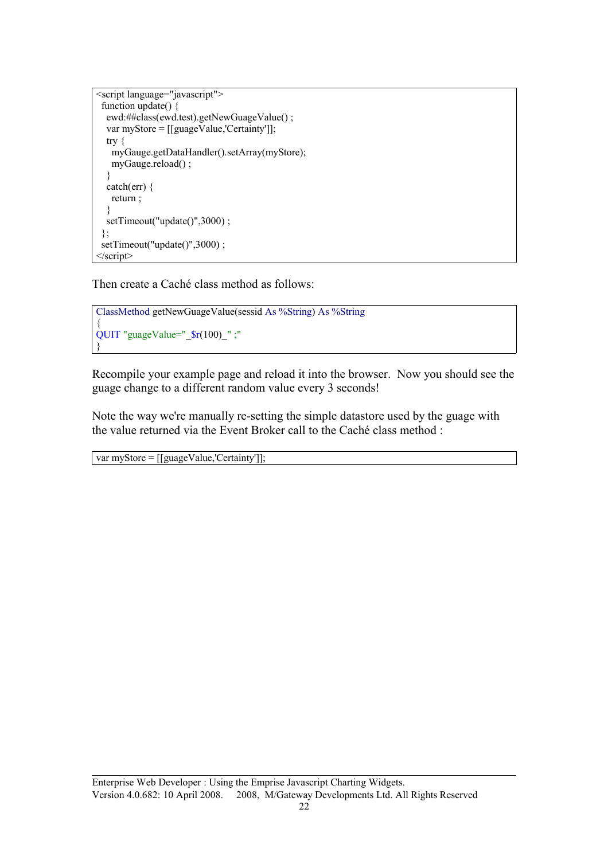```
<script language="javascript">
 function update() {
   ewd:##class(ewd.test).getNewGuageValue() ;
  var myStore = [[\text{gaugeValue}, 'Centainty']];
   try {
    myGauge.getDataHandler().setArray(myStore);
   myGauge.reload();
   }
  catch(err) \{ return ;
   }
  setTimeout("update()",3000);
 };
setTimeout("update()",3000);
</script>
```
Then create a Caché class method as follows:

```
ClassMethod getNewGuageValue(sessid As %String) As %String
{
QUIT "guageValue="\text{\$r}(100) " ;"
}
```
Recompile your example page and reload it into the browser. Now you should see the guage change to a different random value every 3 seconds!

Note the way we're manually re-setting the simple datastore used by the guage with the value returned via the Event Broker call to the Caché class method :

```
var myStore = [[gaugeValue, 'Certainty']];
```